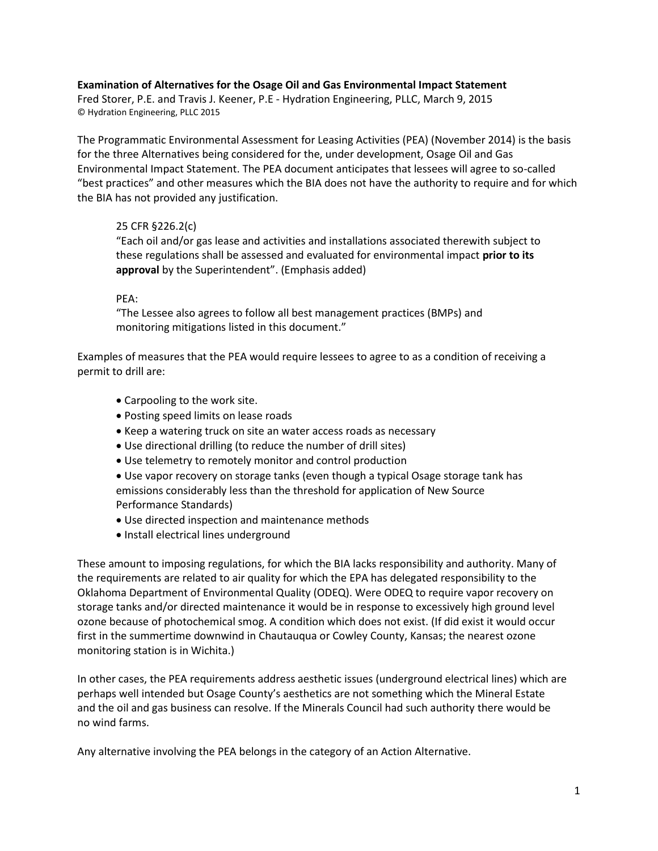## **Examination of Alternatives for the Osage Oil and Gas Environmental Impact Statement**

Fred Storer, P.E. and Travis J. Keener, P.E - Hydration Engineering, PLLC, March 9, 2015 © Hydration Engineering, PLLC 2015

The Programmatic Environmental Assessment for Leasing Activities (PEA) (November 2014) is the basis for the three Alternatives being considered for the, under development, Osage Oil and Gas Environmental Impact Statement. The PEA document anticipates that lessees will agree to so-called "best practices" and other measures which the BIA does not have the authority to require and for which the BIA has not provided any justification.

# 25 CFR §226.2(c)

"Each oil and/or gas lease and activities and installations associated therewith subject to these regulations shall be assessed and evaluated for environmental impact **prior to its approval** by the Superintendent". (Emphasis added)

## PEA:

"The Lessee also agrees to follow all best management practices (BMPs) and monitoring mitigations listed in this document."

Examples of measures that the PEA would require lessees to agree to as a condition of receiving a permit to drill are:

- Carpooling to the work site.
- Posting speed limits on lease roads
- Keep a watering truck on site an water access roads as necessary
- Use directional drilling (to reduce the number of drill sites)
- Use telemetry to remotely monitor and control production
- Use vapor recovery on storage tanks (even though a typical Osage storage tank has emissions considerably less than the threshold for application of New Source Performance Standards)
- Use directed inspection and maintenance methods
- Install electrical lines underground

These amount to imposing regulations, for which the BIA lacks responsibility and authority. Many of the requirements are related to air quality for which the EPA has delegated responsibility to the Oklahoma Department of Environmental Quality (ODEQ). Were ODEQ to require vapor recovery on storage tanks and/or directed maintenance it would be in response to excessively high ground level ozone because of photochemical smog. A condition which does not exist. (If did exist it would occur first in the summertime downwind in Chautauqua or Cowley County, Kansas; the nearest ozone monitoring station is in Wichita.)

In other cases, the PEA requirements address aesthetic issues (underground electrical lines) which are perhaps well intended but Osage County's aesthetics are not something which the Mineral Estate and the oil and gas business can resolve. If the Minerals Council had such authority there would be no wind farms.

Any alternative involving the PEA belongs in the category of an Action Alternative.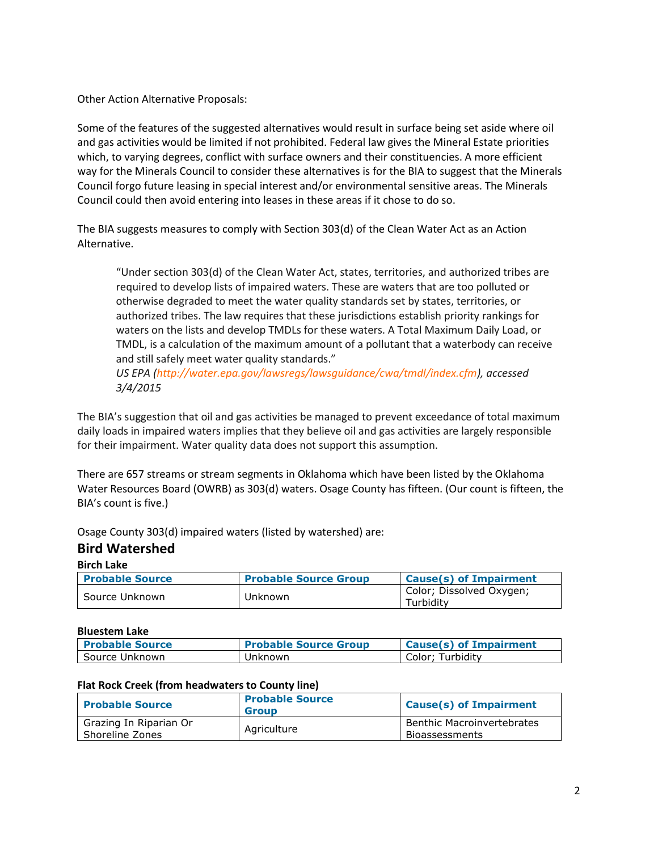Other Action Alternative Proposals:

Some of the features of the suggested alternatives would result in surface being set aside where oil and gas activities would be limited if not prohibited. Federal law gives the Mineral Estate priorities which, to varying degrees, conflict with surface owners and their constituencies. A more efficient way for the Minerals Council to consider these alternatives is for the BIA to suggest that the Minerals Council forgo future leasing in special interest and/or environmental sensitive areas. The Minerals Council could then avoid entering into leases in these areas if it chose to do so.

The BIA suggests measures to comply with Section 303(d) of the Clean Water Act as an Action Alternative.

"Under section 303(d) of the Clean Water Act, states, territories, and authorized tribes are required to develop lists of impaired waters. These are waters that are too polluted or otherwise degraded to meet the water quality standards set by states, territories, or authorized tribes. The law requires that these jurisdictions establish priority rankings for waters on the lists and develop TMDLs for these waters. A Total Maximum Daily Load, or TMDL, is a calculation of the maximum amount of a pollutant that a waterbody can receive and still safely meet water quality standards."

*US EPA (http://water.epa.gov/lawsregs/lawsguidance/cwa/tmdl/index.cfm), accessed 3/4/2015*

The BIA's suggestion that oil and gas activities be managed to prevent exceedance of total maximum daily loads in impaired waters implies that they believe oil and gas activities are largely responsible for their impairment. Water quality data does not support this assumption.

There are 657 streams or stream segments in Oklahoma which have been listed by the Oklahoma Water Resources Board (OWRB) as 303(d) waters. Osage County has fifteen. (Our count is fifteen, the BIA's count is five.)

Osage County 303(d) impaired waters (listed by watershed) are:

# **Bird Watershed**

**Birch Lake**

| <b>Probable Source</b> | <b>Probable Source Group</b> | <b>Cause(s) of Impairment</b>         |
|------------------------|------------------------------|---------------------------------------|
| Source Unknown         | Unknown                      | Color; Dissolved Oxygen;<br>Turbidity |

### **Bluestem Lake**

| <b>Probable Source</b> | <b>Probable Source Group</b> | <b>Cause(s) of Impairment</b> |
|------------------------|------------------------------|-------------------------------|
| Source Unknown         | Unknown                      | Color: Turbidity              |

### **Flat Rock Creek (from headwaters to County line)**

| <b>Probable Source</b>                    | <b>Probable Source</b><br><b>Group</b> | <b>Cause(s) of Impairment</b>                       |
|-------------------------------------------|----------------------------------------|-----------------------------------------------------|
| Grazing In Riparian Or<br>Shoreline Zones | Agriculture                            | <b>Benthic Macroinvertebrates</b><br>Bioassessments |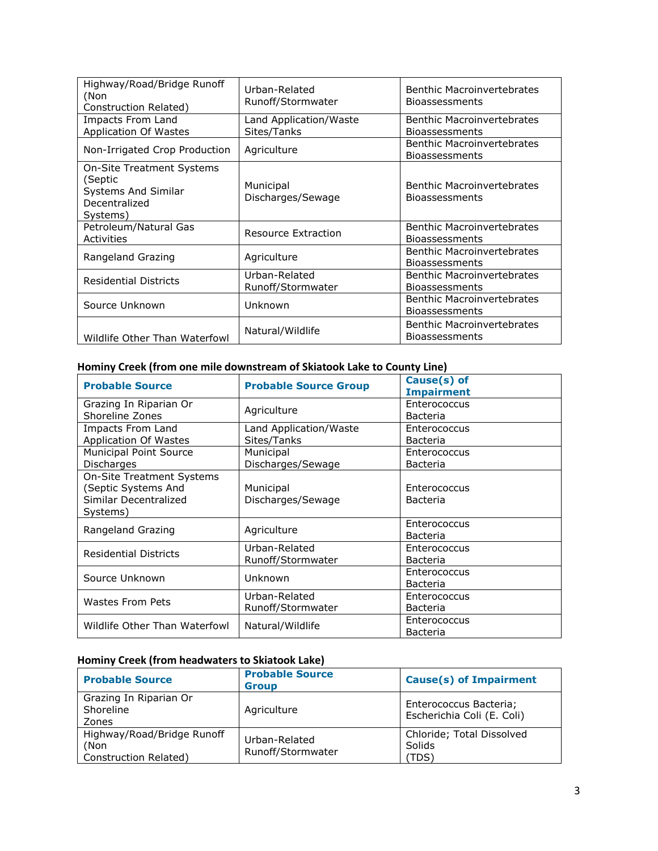| Highway/Road/Bridge Runoff<br>(Non<br>Construction Related)                                            | Urban-Related<br>Runoff/Stormwater    | <b>Benthic Macroinvertebrates</b><br><b>Bioassessments</b> |
|--------------------------------------------------------------------------------------------------------|---------------------------------------|------------------------------------------------------------|
| <b>Impacts From Land</b><br><b>Application Of Wastes</b>                                               | Land Application/Waste<br>Sites/Tanks | Benthic Macroinvertebrates<br><b>Bioassessments</b>        |
| Non-Irrigated Crop Production                                                                          | Agriculture                           | Benthic Macroinvertebrates<br><b>Bioassessments</b>        |
| <b>On-Site Treatment Systems</b><br>(Septic<br><b>Systems And Similar</b><br>Decentralized<br>Systems) | Municipal<br>Discharges/Sewage        | <b>Benthic Macroinvertebrates</b><br><b>Bioassessments</b> |
| Petroleum/Natural Gas<br>Activities                                                                    | Resource Extraction                   | Benthic Macroinvertebrates<br><b>Bioassessments</b>        |
| Rangeland Grazing                                                                                      | Agriculture                           | Benthic Macroinvertebrates<br><b>Bioassessments</b>        |
| <b>Residential Districts</b>                                                                           | Urban-Related<br>Runoff/Stormwater    | <b>Benthic Macroinvertebrates</b><br><b>Bioassessments</b> |
| Source Unknown                                                                                         | Unknown                               | <b>Benthic Macroinvertebrates</b><br><b>Bioassessments</b> |
| Wildlife Other Than Waterfowl                                                                          | Natural/Wildlife                      | <b>Benthic Macroinvertebrates</b><br><b>Bioassessments</b> |

# **Hominy Creek (from one mile downstream of Skiatook Lake to County Line)**

| <b>Probable Source</b>                                                                       | <b>Probable Source Group</b>          | Cause(s) of<br><b>Impairment</b> |
|----------------------------------------------------------------------------------------------|---------------------------------------|----------------------------------|
| Grazing In Riparian Or<br>Shoreline Zones                                                    | Agriculture                           | Enterococcus<br>Bacteria         |
| Impacts From Land<br><b>Application Of Wastes</b>                                            | Land Application/Waste<br>Sites/Tanks | Enterococcus<br>Bacteria         |
| <b>Municipal Point Source</b><br>Discharges                                                  | Municipal<br>Discharges/Sewage        | Enterococcus<br>Bacteria         |
| <b>On-Site Treatment Systems</b><br>(Septic Systems And<br>Similar Decentralized<br>Systems) | Municipal<br>Discharges/Sewage        | Enterococcus<br>Bacteria         |
| Rangeland Grazing                                                                            | Agriculture                           | Enterococcus<br>Bacteria         |
| <b>Residential Districts</b>                                                                 | Urban-Related<br>Runoff/Stormwater    | Enterococcus<br>Bacteria         |
| Source Unknown                                                                               | Unknown                               | Enterococcus<br>Bacteria         |
| <b>Wastes From Pets</b>                                                                      | Urban-Related<br>Runoff/Stormwater    | Enterococcus<br>Bacteria         |
| Wildlife Other Than Waterfowl                                                                | Natural/Wildlife                      | Enterococcus<br>Bacteria         |

# **Hominy Creek (from headwaters to Skiatook Lake)**

| <b>Probable Source</b>                                      | <b>Probable Source</b><br><b>Group</b> | <b>Cause(s) of Impairment</b>                        |
|-------------------------------------------------------------|----------------------------------------|------------------------------------------------------|
| Grazing In Riparian Or<br>Shoreline<br>Zones                | Agriculture                            | Enterococcus Bacteria;<br>Escherichia Coli (E. Coli) |
| Highway/Road/Bridge Runoff<br>(Non<br>Construction Related) | Urban-Related<br>Runoff/Stormwater     | Chloride; Total Dissolved<br>Solids<br>(TDS)         |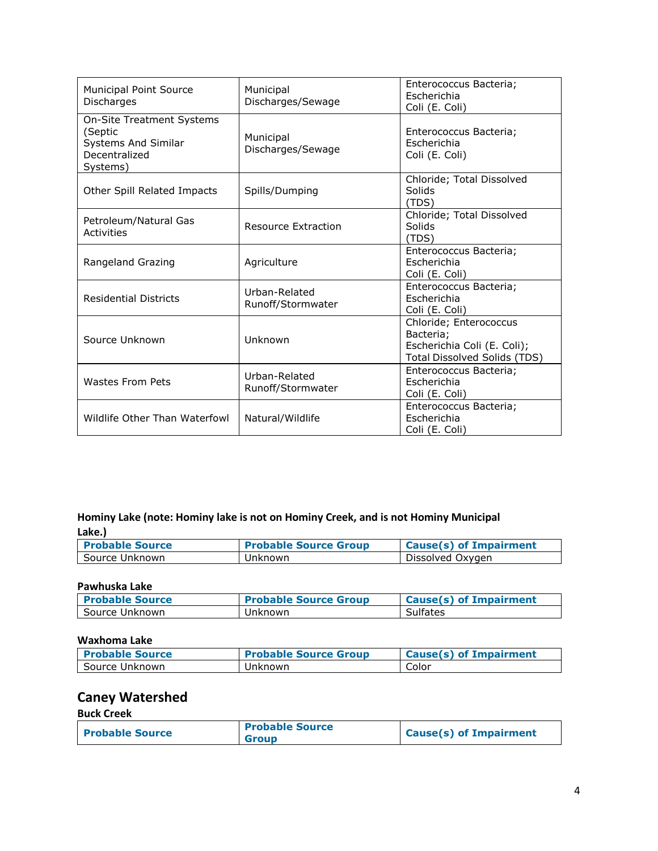| <b>Municipal Point Source</b><br>Discharges                                                     | Municipal<br>Discharges/Sewage     | Enterococcus Bacteria;<br>Escherichia<br>Coli (E. Coli)                                                   |
|-------------------------------------------------------------------------------------------------|------------------------------------|-----------------------------------------------------------------------------------------------------------|
| <b>On-Site Treatment Systems</b><br>(Septic<br>Systems And Similar<br>Decentralized<br>Systems) | Municipal<br>Discharges/Sewage     | Enterococcus Bacteria;<br>Escherichia<br>Coli (E. Coli)                                                   |
| Other Spill Related Impacts                                                                     | Spills/Dumping                     | Chloride; Total Dissolved<br>Solids<br>(TDS)                                                              |
| Petroleum/Natural Gas<br>Activities                                                             | Resource Extraction                | Chloride; Total Dissolved<br>Solids<br>(TDS)                                                              |
| Rangeland Grazing                                                                               | Agriculture                        | Enterococcus Bacteria;<br>Escherichia<br>Coli (E. Coli)                                                   |
| <b>Residential Districts</b>                                                                    | Urban-Related<br>Runoff/Stormwater | Enterococcus Bacteria;<br>Escherichia<br>Coli (E. Coli)                                                   |
| Source Unknown                                                                                  | Unknown                            | Chloride; Enterococcus<br>Bacteria;<br>Escherichia Coli (E. Coli);<br><b>Total Dissolved Solids (TDS)</b> |
| Wastes From Pets                                                                                | Urban-Related<br>Runoff/Stormwater | Enterococcus Bacteria;<br><b>Escherichia</b><br>Coli (E. Coli)                                            |
| Wildlife Other Than Waterfowl                                                                   | Natural/Wildlife                   | Enterococcus Bacteria;<br>Escherichia<br>Coli (E. Coli)                                                   |

# **Hominy Lake (note: Hominy lake is not on Hominy Creek, and is not Hominy Municipal Lake.)**

| <b>Probable Source</b> | <b>Probable Source Group</b> | <b>Cause(s) of Impairment</b> |
|------------------------|------------------------------|-------------------------------|
| Source Unknown         | Unknown                      | Dissolved Oxygen              |

### **Pawhuska Lake**

| <b>Probable Source</b> | <b>Probable Source Group</b> | Cause(s) of Impairment |
|------------------------|------------------------------|------------------------|
| Source Unknown         | Unknown                      | Sulfates               |

# **Waxhoma Lake**

| <b>Probable Source</b> | <b>Probable Source Group</b> | Cause(s) of Impairment |
|------------------------|------------------------------|------------------------|
| Source Unknown         | Unknown                      | Color                  |

# **Caney Watershed**

### **Buck Creek**

| <b>Probable Source</b> | <b>Probable Source</b><br><b>Group</b> | <b>Cause(s) of Impairment</b> |
|------------------------|----------------------------------------|-------------------------------|
|                        |                                        |                               |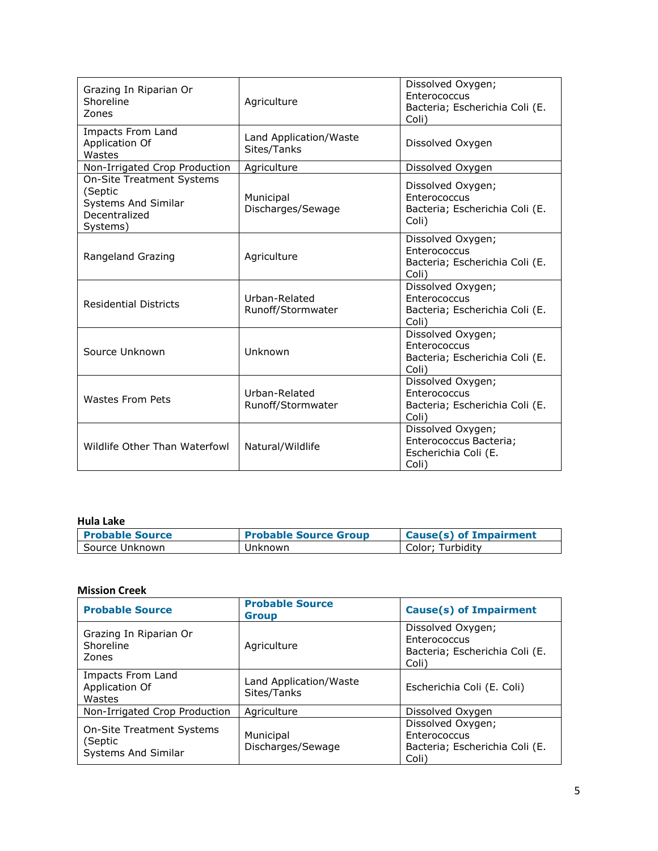| Grazing In Riparian Or<br>Shoreline<br>Zones                                                           | Agriculture                           | Dissolved Oxygen;<br>Enterococcus<br>Bacteria; Escherichia Coli (E.<br>Coli) |
|--------------------------------------------------------------------------------------------------------|---------------------------------------|------------------------------------------------------------------------------|
| Impacts From Land<br>Application Of<br>Wastes                                                          | Land Application/Waste<br>Sites/Tanks | Dissolved Oxygen                                                             |
| Non-Irrigated Crop Production                                                                          | Agriculture                           | Dissolved Oxygen                                                             |
| <b>On-Site Treatment Systems</b><br>(Septic<br><b>Systems And Similar</b><br>Decentralized<br>Systems) | Municipal<br>Discharges/Sewage        | Dissolved Oxygen;<br>Enterococcus<br>Bacteria; Escherichia Coli (E.<br>Coli) |
| Rangeland Grazing                                                                                      | Agriculture                           | Dissolved Oxygen;<br>Enterococcus<br>Bacteria; Escherichia Coli (E.<br>Coli) |
| <b>Residential Districts</b>                                                                           | Urban-Related<br>Runoff/Stormwater    | Dissolved Oxygen;<br>Enterococcus<br>Bacteria; Escherichia Coli (E.<br>Coli) |
| Source Unknown                                                                                         | Unknown                               | Dissolved Oxygen;<br>Enterococcus<br>Bacteria; Escherichia Coli (E.<br>Coli) |
| Wastes From Pets                                                                                       | Urban-Related<br>Runoff/Stormwater    | Dissolved Oxygen;<br>Enterococcus<br>Bacteria; Escherichia Coli (E.<br>Coli) |
| Wildlife Other Than Waterfowl                                                                          | Natural/Wildlife                      | Dissolved Oxygen;<br>Enterococcus Bacteria;<br>Escherichia Coli (E.<br>Coli) |

### **Hula Lake**

| <b>Probable Source</b> | <b>Probable Source Group</b> | <b>Cause(s) of Impairment</b> |
|------------------------|------------------------------|-------------------------------|
| Source Unknown         | Unknown                      | Color: Turbidity              |

## **Mission Creek**

| <b>Probable Source</b>                                             | <b>Probable Source</b><br><b>Group</b> | <b>Cause(s) of Impairment</b>                                                |
|--------------------------------------------------------------------|----------------------------------------|------------------------------------------------------------------------------|
| Grazing In Riparian Or<br>Shoreline<br>Zones                       | Agriculture                            | Dissolved Oxygen;<br>Enterococcus<br>Bacteria; Escherichia Coli (E.<br>Coli) |
| Impacts From Land<br>Application Of<br>Wastes                      | Land Application/Waste<br>Sites/Tanks  | Escherichia Coli (E. Coli)                                                   |
| Non-Irrigated Crop Production                                      | Agriculture                            | Dissolved Oxygen                                                             |
| <b>On-Site Treatment Systems</b><br>(Septic<br>Systems And Similar | Municipal<br>Discharges/Sewage         | Dissolved Oxygen;<br>Enterococcus<br>Bacteria; Escherichia Coli (E.<br>Coli) |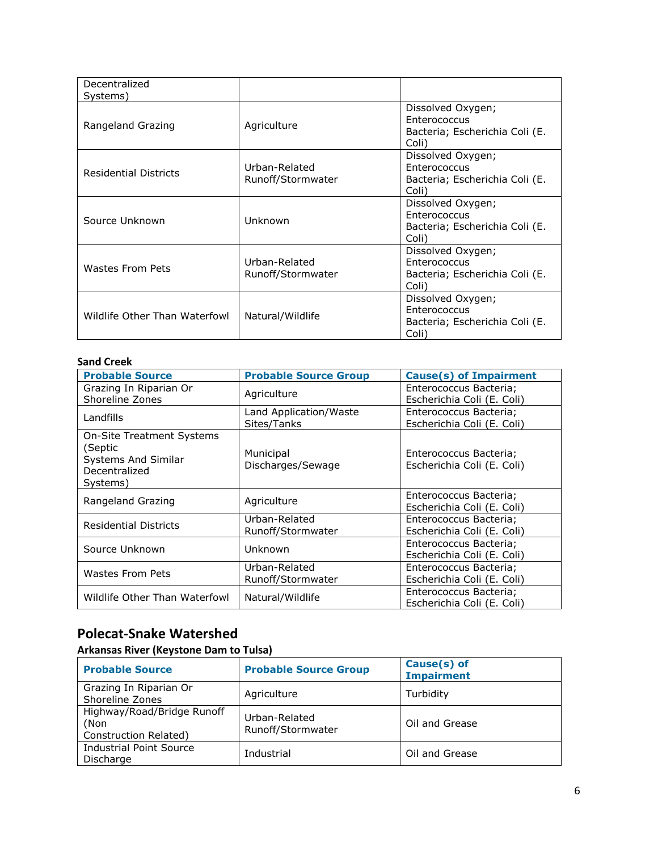| Decentralized<br>Systems)     |                                    |                                                                              |
|-------------------------------|------------------------------------|------------------------------------------------------------------------------|
| Rangeland Grazing             | Agriculture                        | Dissolved Oxygen;<br>Enterococcus<br>Bacteria; Escherichia Coli (E.<br>Coli) |
| <b>Residential Districts</b>  | Urban-Related<br>Runoff/Stormwater | Dissolved Oxygen;<br>Enterococcus<br>Bacteria; Escherichia Coli (E.<br>Coli) |
| Source Unknown                | Unknown                            | Dissolved Oxygen;<br>Enterococcus<br>Bacteria; Escherichia Coli (E.<br>Coli) |
| Wastes From Pets              | Urban-Related<br>Runoff/Stormwater | Dissolved Oxygen;<br>Enterococcus<br>Bacteria; Escherichia Coli (E.<br>Coli) |
| Wildlife Other Than Waterfowl | Natural/Wildlife                   | Dissolved Oxygen;<br>Enterococcus<br>Bacteria; Escherichia Coli (E.<br>Coli) |

# **Sand Creek**

| <b>Probable Source</b>                                                                          | <b>Probable Source Group</b>          | <b>Cause(s) of Impairment</b>                        |
|-------------------------------------------------------------------------------------------------|---------------------------------------|------------------------------------------------------|
| Grazing In Riparian Or<br>Shoreline Zones                                                       | Agriculture                           | Enterococcus Bacteria;<br>Escherichia Coli (E. Coli) |
| Landfills                                                                                       | Land Application/Waste<br>Sites/Tanks | Enterococcus Bacteria;<br>Escherichia Coli (E. Coli) |
| <b>On-Site Treatment Systems</b><br>(Septic<br>Systems And Similar<br>Decentralized<br>Systems) | Municipal<br>Discharges/Sewage        | Enterococcus Bacteria;<br>Escherichia Coli (E. Coli) |
| Rangeland Grazing                                                                               | Agriculture                           | Enterococcus Bacteria;<br>Escherichia Coli (E. Coli) |
| <b>Residential Districts</b>                                                                    | Urban-Related<br>Runoff/Stormwater    | Enterococcus Bacteria;<br>Escherichia Coli (E. Coli) |
| Source Unknown                                                                                  | Unknown                               | Enterococcus Bacteria;<br>Escherichia Coli (E. Coli) |
| Wastes From Pets                                                                                | Urban-Related<br>Runoff/Stormwater    | Enterococcus Bacteria;<br>Escherichia Coli (E. Coli) |
| Wildlife Other Than Waterfowl                                                                   | Natural/Wildlife                      | Enterococcus Bacteria;<br>Escherichia Coli (E. Coli) |

# **Polecat-Snake Watershed**

# **Arkansas River (Keystone Dam to Tulsa)**

| <b>Probable Source</b>                                      | <b>Probable Source Group</b>       | Cause(s) of<br><b>Impairment</b> |
|-------------------------------------------------------------|------------------------------------|----------------------------------|
| Grazing In Riparian Or<br>Shoreline Zones                   | Agriculture                        | Turbidity                        |
| Highway/Road/Bridge Runoff<br>(Non<br>Construction Related) | Urban-Related<br>Runoff/Stormwater | Oil and Grease                   |
| <b>Industrial Point Source</b><br>Discharge                 | Industrial                         | Oil and Grease                   |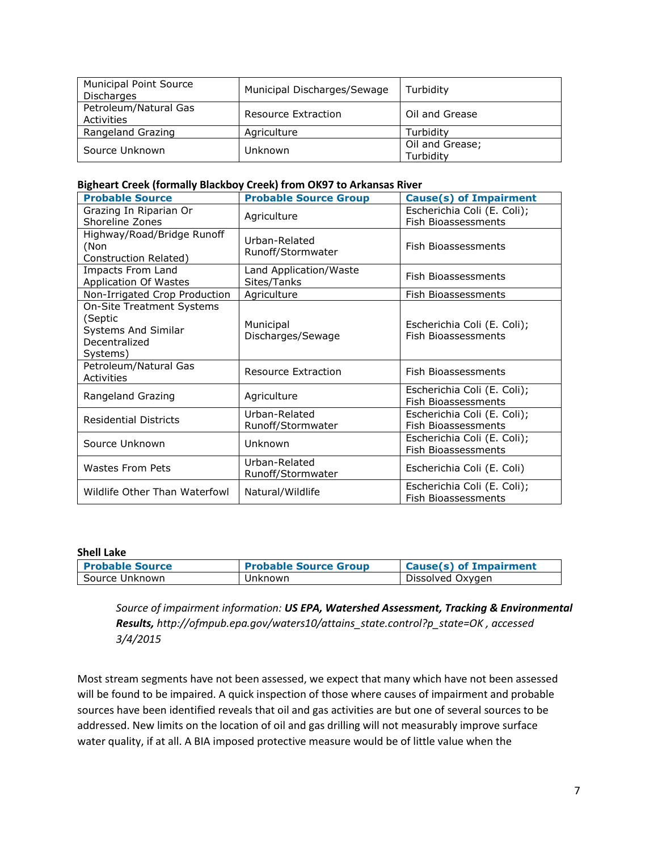| <b>Municipal Point Source</b><br><b>Discharges</b> | Municipal Discharges/Sewage | Turbidity                    |
|----------------------------------------------------|-----------------------------|------------------------------|
| Petroleum/Natural Gas<br>Activities                | Resource Extraction         | Oil and Grease               |
| Rangeland Grazing                                  | Agriculture                 | Turbidity                    |
| Source Unknown                                     | Unknown                     | Oil and Grease;<br>Turbidity |

### **Bigheart Creek (formally Blackboy Creek) from OK97 to Arkansas River**

| <b>Probable Source</b>                                                                          | <b>Probable Source Group</b>          | <b>Cause(s) of Impairment</b>                             |
|-------------------------------------------------------------------------------------------------|---------------------------------------|-----------------------------------------------------------|
| Grazing In Riparian Or<br>Shoreline Zones                                                       | Agriculture                           | Escherichia Coli (E. Coli);<br><b>Fish Bioassessments</b> |
| Highway/Road/Bridge Runoff<br>(Non<br>Construction Related)                                     | Urban-Related<br>Runoff/Stormwater    | Fish Bioassessments                                       |
| Impacts From Land<br><b>Application Of Wastes</b>                                               | Land Application/Waste<br>Sites/Tanks | Fish Bioassessments                                       |
| Non-Irrigated Crop Production                                                                   | Agriculture                           | Fish Bioassessments                                       |
| <b>On-Site Treatment Systems</b><br>(Septic<br>Systems And Similar<br>Decentralized<br>Systems) | Municipal<br>Discharges/Sewage        | Escherichia Coli (E. Coli);<br><b>Fish Bioassessments</b> |
| Petroleum/Natural Gas<br><b>Activities</b>                                                      | Resource Extraction                   | Fish Bioassessments                                       |
| Rangeland Grazing                                                                               | Agriculture                           | Escherichia Coli (E. Coli);<br>Fish Bioassessments        |
| <b>Residential Districts</b>                                                                    | Urban-Related<br>Runoff/Stormwater    | Escherichia Coli (E. Coli);<br>Fish Bioassessments        |
| Source Unknown                                                                                  | Unknown                               | Escherichia Coli (E. Coli);<br>Fish Bioassessments        |
| Wastes From Pets                                                                                | Urban-Related<br>Runoff/Stormwater    | Escherichia Coli (E. Coli)                                |
| Wildlife Other Than Waterfowl                                                                   | Natural/Wildlife                      | Escherichia Coli (E. Coli);<br>Fish Bioassessments        |

#### **Shell Lake**

| <b>Probable Source</b> | <b>Probable Source Group</b> | Cause(s) of Impairment |
|------------------------|------------------------------|------------------------|
| Source Unknown         | Unknown                      | Dissolved Oxygen       |

*Source of impairment information: US EPA, Watershed Assessment, Tracking & Environmental Results, http://ofmpub.epa.gov/waters10/attains\_state.control?p\_state=OK , accessed 3/4/2015*

Most stream segments have not been assessed, we expect that many which have not been assessed will be found to be impaired. A quick inspection of those where causes of impairment and probable sources have been identified reveals that oil and gas activities are but one of several sources to be addressed. New limits on the location of oil and gas drilling will not measurably improve surface water quality, if at all. A BIA imposed protective measure would be of little value when the